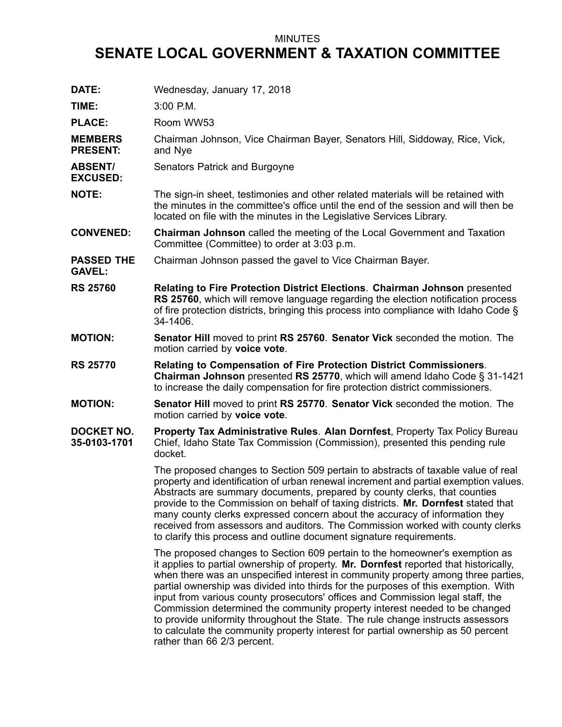## MINUTES

## **SENATE LOCAL GOVERNMENT & TAXATION COMMITTEE**

| DATE:                              | Wednesday, January 17, 2018                                                                                                                                                                                                                                                                                                                                                                                                                                                                                                                                                                                                                                                                                           |
|------------------------------------|-----------------------------------------------------------------------------------------------------------------------------------------------------------------------------------------------------------------------------------------------------------------------------------------------------------------------------------------------------------------------------------------------------------------------------------------------------------------------------------------------------------------------------------------------------------------------------------------------------------------------------------------------------------------------------------------------------------------------|
| TIME:                              | $3:00$ P.M.                                                                                                                                                                                                                                                                                                                                                                                                                                                                                                                                                                                                                                                                                                           |
| <b>PLACE:</b>                      | Room WW53                                                                                                                                                                                                                                                                                                                                                                                                                                                                                                                                                                                                                                                                                                             |
| <b>MEMBERS</b><br><b>PRESENT:</b>  | Chairman Johnson, Vice Chairman Bayer, Senators Hill, Siddoway, Rice, Vick,<br>and Nye                                                                                                                                                                                                                                                                                                                                                                                                                                                                                                                                                                                                                                |
| <b>ABSENT/</b><br><b>EXCUSED:</b>  | Senators Patrick and Burgoyne                                                                                                                                                                                                                                                                                                                                                                                                                                                                                                                                                                                                                                                                                         |
| <b>NOTE:</b>                       | The sign-in sheet, testimonies and other related materials will be retained with<br>the minutes in the committee's office until the end of the session and will then be<br>located on file with the minutes in the Legislative Services Library.                                                                                                                                                                                                                                                                                                                                                                                                                                                                      |
| <b>CONVENED:</b>                   | <b>Chairman Johnson</b> called the meeting of the Local Government and Taxation<br>Committee (Committee) to order at 3:03 p.m.                                                                                                                                                                                                                                                                                                                                                                                                                                                                                                                                                                                        |
| <b>PASSED THE</b><br><b>GAVEL:</b> | Chairman Johnson passed the gavel to Vice Chairman Bayer.                                                                                                                                                                                                                                                                                                                                                                                                                                                                                                                                                                                                                                                             |
| <b>RS 25760</b>                    | <b>Relating to Fire Protection District Elections. Chairman Johnson presented</b><br>RS 25760, which will remove language regarding the election notification process<br>of fire protection districts, bringing this process into compliance with Idaho Code §<br>34-1406.                                                                                                                                                                                                                                                                                                                                                                                                                                            |
| <b>MOTION:</b>                     | <b>Senator Hill moved to print RS 25760. Senator Vick seconded the motion. The</b><br>motion carried by voice vote.                                                                                                                                                                                                                                                                                                                                                                                                                                                                                                                                                                                                   |
| <b>RS 25770</b>                    | Relating to Compensation of Fire Protection District Commissioners.<br>Chairman Johnson presented RS 25770, which will amend Idaho Code § 31-1421<br>to increase the daily compensation for fire protection district commissioners.                                                                                                                                                                                                                                                                                                                                                                                                                                                                                   |
| <b>MOTION:</b>                     | <b>Senator Hill moved to print RS 25770. Senator Vick seconded the motion. The</b><br>motion carried by voice vote.                                                                                                                                                                                                                                                                                                                                                                                                                                                                                                                                                                                                   |
| <b>DOCKET NO.</b><br>35-0103-1701  | Property Tax Administrative Rules. Alan Dornfest, Property Tax Policy Bureau<br>Chief, Idaho State Tax Commission (Commission), presented this pending rule<br>docket.                                                                                                                                                                                                                                                                                                                                                                                                                                                                                                                                                |
|                                    | The proposed changes to Section 509 pertain to abstracts of taxable value of real<br>property and identification of urban renewal increment and partial exemption values.<br>Abstracts are summary documents, prepared by county clerks, that counties<br>provide to the Commission on behalf of taxing districts. Mr. Dornfest stated that<br>many county clerks expressed concern about the accuracy of information they<br>received from assessors and auditors. The Commission worked with county clerks<br>to clarify this process and outline document signature requirements.                                                                                                                                  |
|                                    | The proposed changes to Section 609 pertain to the homeowner's exemption as<br>it applies to partial ownership of property. Mr. Dornfest reported that historically,<br>when there was an unspecified interest in community property among three parties,<br>partial ownership was divided into thirds for the purposes of this exemption. With<br>input from various county prosecutors' offices and Commission legal staff, the<br>Commission determined the community property interest needed to be changed<br>to provide uniformity throughout the State. The rule change instructs assessors<br>to calculate the community property interest for partial ownership as 50 percent<br>rather than 66 2/3 percent. |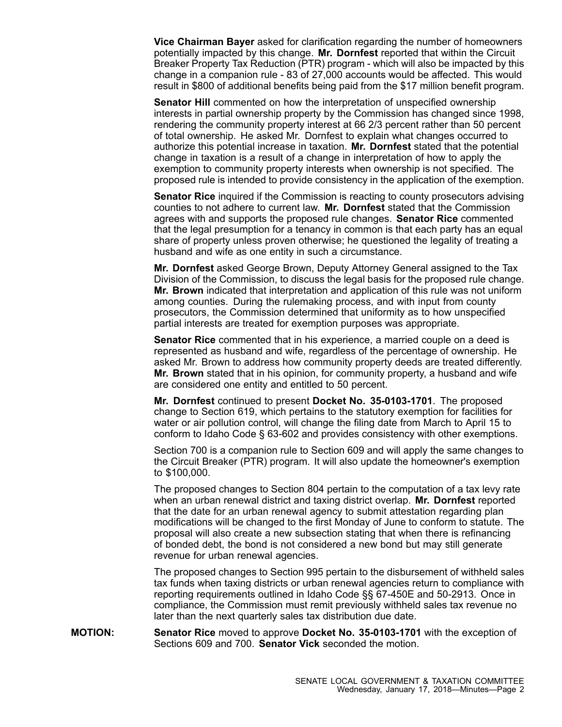**Vice Chairman Bayer** asked for clarification regarding the number of homeowners potentially impacted by this change. **Mr. Dornfest** reported that within the Circuit Breaker Property Tax Reduction (PTR) program - which will also be impacted by this change in <sup>a</sup> companion rule - 83 of 27,000 accounts would be affected. This would result in \$800 of additional benefits being paid from the \$17 million benefit program.

**Senator Hill** commented on how the interpretation of unspecified ownership interests in partial ownership property by the Commission has changed since 1998, rendering the community property interest at 66 2/3 percent rather than 50 percent of total ownership. He asked Mr. Dornfest to explain what changes occurred to authorize this potential increase in taxation. **Mr. Dornfest** stated that the potential change in taxation is <sup>a</sup> result of <sup>a</sup> change in interpretation of how to apply the exemption to community property interests when ownership is not specified. The proposed rule is intended to provide consistency in the application of the exemption.

**Senator Rice** inquired if the Commission is reacting to county prosecutors advising counties to not adhere to current law. **Mr. Dornfest** stated that the Commission agrees with and supports the proposed rule changes. **Senator Rice** commented that the legal presumption for <sup>a</sup> tenancy in common is that each party has an equal share of property unless proven otherwise; he questioned the legality of treating <sup>a</sup> husband and wife as one entity in such <sup>a</sup> circumstance.

**Mr. Dornfest** asked George Brown, Deputy Attorney General assigned to the Tax Division of the Commission, to discuss the legal basis for the proposed rule change. **Mr. Brown** indicated that interpretation and application of this rule was not uniform among counties. During the rulemaking process, and with input from county prosecutors, the Commission determined that uniformity as to how unspecified partial interests are treated for exemption purposes was appropriate.

**Senator Rice** commented that in his experience, <sup>a</sup> married couple on <sup>a</sup> deed is represented as husband and wife, regardless of the percentage of ownership. He asked Mr. Brown to address how community property deeds are treated differently. **Mr. Brown** stated that in his opinion, for community property, <sup>a</sup> husband and wife are considered one entity and entitled to 50 percent.

**Mr. Dornfest** continued to present **Docket No. 35-0103-1701**. The proposed change to Section 619, which pertains to the statutory exemption for facilities for water or air pollution control, will change the filing date from March to April 15 to conform to Idaho Code § 63-602 and provides consistency with other exemptions.

Section 700 is <sup>a</sup> companion rule to Section 609 and will apply the same changes to the Circuit Breaker (PTR) program. It will also update the homeowner's exemption to \$100,000.

The proposed changes to Section 804 pertain to the computation of <sup>a</sup> tax levy rate when an urban renewal district and taxing district overlap. **Mr. Dornfest** reported that the date for an urban renewal agency to submit attestation regarding plan modifications will be changed to the first Monday of June to conform to statute. The proposal will also create <sup>a</sup> new subsection stating that when there is refinancing of bonded debt, the bond is not considered <sup>a</sup> new bond but may still generate revenue for urban renewal agencies.

The proposed changes to Section 995 pertain to the disbursement of withheld sales tax funds when taxing districts or urban renewal agencies return to compliance with reporting requirements outlined in Idaho Code §§ 67-450E and 50-2913. Once in compliance, the Commission must remit previously withheld sales tax revenue no later than the next quarterly sales tax distribution due date.

**MOTION: Senator Rice** moved to approve **Docket No. 35-0103-1701** with the exception of Sections 609 and 700. **Senator Vick** seconded the motion.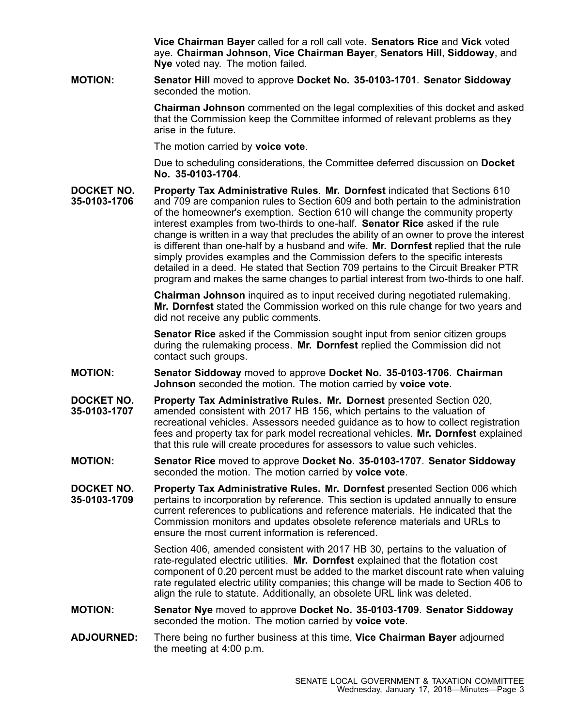**Vice Chairman Bayer** called for <sup>a</sup> roll call vote. **Senators Rice** and **Vick** voted aye. **Chairman Johnson**, **Vice Chairman Bayer**, **Senators Hill**, **Siddoway**, and **Nye** voted nay. The motion failed.

**MOTION: Senator Hill** moved to approve **Docket No. 35-0103-1701**. **Senator Siddoway** seconded the motion.

> **Chairman Johnson** commented on the legal complexities of this docket and asked that the Commission keep the Committee informed of relevant problems as they arise in the future.

The motion carried by **voice vote**.

Due to scheduling considerations, the Committee deferred discussion on **Docket No. 35-0103-1704**.

**DOCKET NO. 35-0103-1706 Property Tax Administrative Rules**. **Mr. Dornfest** indicated that Sections 610 and 709 are companion rules to Section 609 and both pertain to the administration of the homeowner's exemption. Section 610 will change the community property interest examples from two-thirds to one-half. **Senator Rice** asked if the rule change is written in <sup>a</sup> way that precludes the ability of an owner to prove the interest is different than one-half by <sup>a</sup> husband and wife. **Mr. Dornfest** replied that the rule simply provides examples and the Commission defers to the specific interests detailed in <sup>a</sup> deed. He stated that Section 709 pertains to the Circuit Breaker PTR program and makes the same changes to partial interest from two-thirds to one half.

> **Chairman Johnson** inquired as to input received during negotiated rulemaking. **Mr. Dornfest** stated the Commission worked on this rule change for two years and did not receive any public comments.

**Senator Rice** asked if the Commission sought input from senior citizen groups during the rulemaking process. **Mr. Dornfest** replied the Commission did not contact such groups.

- **MOTION: Senator Siddoway** moved to approve **Docket No. 35-0103-1706**. **Chairman Johnson** seconded the motion. The motion carried by **voice vote**.
- **DOCKET NO. 35-0103-1707 Property Tax Administrative Rules. Mr. Dornest** presented Section 020, amended consistent with 2017 HB 156, which pertains to the valuation of recreational vehicles. Assessors needed guidance as to how to collect registration fees and property tax for park model recreational vehicles. **Mr. Dornfest** explained that this rule will create procedures for assessors to value such vehicles.
- **MOTION: Senator Rice** moved to approve **Docket No. 35-0103-1707**. **Senator Siddoway** seconded the motion. The motion carried by **voice vote**.
- **DOCKET NO. 35-0103-1709 Property Tax Administrative Rules. Mr. Dornfest** presented Section 006 which pertains to incorporation by reference. This section is updated annually to ensure current references to publications and reference materials. He indicated that the Commission monitors and updates obsolete reference materials and URLs to ensure the most current information is referenced.

Section 406, amended consistent with 2017 HB 30, pertains to the valuation of rate-regulated electric utilities. **Mr. Dornfest** explained that the flotation cost component of 0.20 percent must be added to the market discount rate when valuing rate regulated electric utility companies; this change will be made to Section 406 to align the rule to statute. Additionally, an obsolete URL link was deleted.

- **MOTION: Senator Nye** moved to approve **Docket No. 35-0103-1709**. **Senator Siddoway** seconded the motion. The motion carried by **voice vote**.
- **ADJOURNED:** There being no further business at this time, **Vice Chairman Bayer** adjourned the meeting at 4:00 p.m.